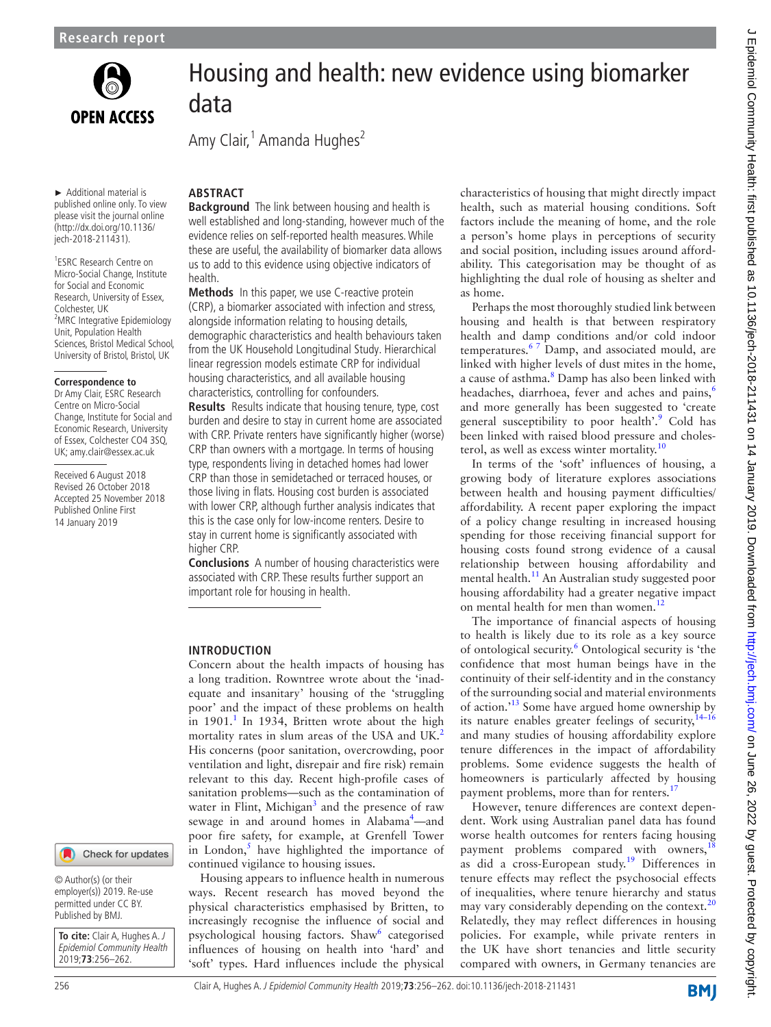

► Additional material is published online only. To view please visit the journal online (http://dx.doi.org/10.1136/ jech-2018-211431).

1 ESRC Research Centre on Micro-Social Change, Institute for Social and Economic Research, University of Essex, Colchester, UK <sup>2</sup>MRC Integrative Epidemiology Unit, Population Health Sciences, Bristol Medical School, University of Bristol, Bristol, UK

#### **Correspondence to**

Dr Amy Clair, ESRC Research Centre on Micro-Social Change, Institute for Social and Economic Research, University of Essex, Colchester CO4 3SQ, UK; amy.clair@essex.ac.uk

Received 6 August 2018 Revised 26 October 2018 Accepted 25 November 2018 Published Online First 14 January 2019

#### Check for updates O

© Author(s) (or their employer(s)) 2019. Re-use permitted under CC BY. Published by BMJ.

**To cite:** Clair A, Hughes A. J Epidemiol Community Health 2019;**73**:256–262.

# Housing and health: new evidence using biomarker data

Amy Clair,<sup>1</sup> Amanda Hughes<sup>2</sup>

## **ARSTRACT**

**Background** The link between housing and health is well established and long-standing, however much of the evidence relies on self-reported health measures. While these are useful, the availability of biomarker data allows us to add to this evidence using objective indicators of health.

**Methods** In this paper, we use C-reactive protein (CRP), a biomarker associated with infection and stress, alongside information relating to housing details, demographic characteristics and health behaviours taken from the UK Household Longitudinal Study. Hierarchical linear regression models estimate CRP for individual housing characteristics, and all available housing characteristics, controlling for confounders.

**Results** Results indicate that housing tenure, type, cost burden and desire to stay in current home are associated with CRP. Private renters have significantly higher (worse) CRP than owners with a mortgage. In terms of housing type, respondents living in detached homes had lower CRP than those in semidetached or terraced houses, or those living in flats. Housing cost burden is associated with lower CRP, although further analysis indicates that this is the case only for low-income renters. Desire to stay in current home is significantly associated with higher CRP.

**Conclusions** A number of housing characteristics were associated with CRP. These results further support an important role for housing in health.

## **Introduction**

Concern about the health impacts of housing has a long tradition. Rowntree wrote about the 'inadequate and insanitary' housing of the 'struggling poor' and the impact of these problems on health in  $1901$  $1901$ .<sup>1</sup> In 1934, Britten wrote about the high mortality rates in slum areas of the USA and UK.<sup>[2](#page-6-1)</sup> His concerns (poor sanitation, overcrowding, poor ventilation and light, disrepair and fire risk) remain relevant to this day. Recent high-profile cases of sanitation problems—such as the contamination of water in Flint, Michigan<sup>[3](#page-6-2)</sup> and the presence of raw sewage in and around homes in Alabama<sup>[4](#page-6-3)</sup>-and poor fire safety, for example, at Grenfell Tower in London, $\frac{s}{s}$  have highlighted the importance of continued vigilance to housing issues.

Housing appears to influence health in numerous ways. Recent research has moved beyond the physical characteristics emphasised by Britten, to increasingly recognise the influence of social and psychological housing factors. Shaw<sup>[6](#page-6-5)</sup> categorised influences of housing on health into 'hard' and 'soft' types. Hard influences include the physical

characteristics of housing that might directly impact health, such as material housing conditions. Soft factors include the meaning of home, and the role a person's home plays in perceptions of security and social position, including issues around affordability. This categorisation may be thought of as highlighting the dual role of housing as shelter and as home.

Perhaps the most thoroughly studied link between housing and health is that between respiratory health and damp conditions and/or cold indoor temperatures.<sup>67</sup> Damp, and associated mould, are linked with higher levels of dust mites in the home, a cause of asthma.<sup>8</sup> Damp has also been linked with headaches, diarrhoea, fever and aches and pains,<sup>[6](#page-6-5)</sup> and more generally has been suggested to 'create general susceptibility to poor health'.<sup>[9](#page-6-7)</sup> Cold has been linked with raised blood pressure and choles-terol, as well as excess winter mortality.<sup>[10](#page-6-8)</sup>

In terms of the 'soft' influences of housing, a growing body of literature explores associations between health and housing payment difficulties/ affordability. A recent paper exploring the impact of a policy change resulting in increased housing spending for those receiving financial support for housing costs found strong evidence of a causal relationship between housing affordability and mental health.<sup>11</sup> An Australian study suggested poor housing affordability had a greater negative impact on mental health for men than women.<sup>12</sup>

The importance of financial aspects of housing to health is likely due to its role as a key source of ontological security.<sup>6</sup> Ontological security is 'the confidence that most human beings have in the continuity of their self-identity and in the constancy of the surrounding social and material environments of action.'[13](#page-6-11) Some have argued home ownership by its nature enables greater feelings of security,  $14-16$ and many studies of housing affordability explore tenure differences in the impact of affordability problems. Some evidence suggests the health of homeowners is particularly affected by housing payment problems, more than for renters.<sup>[17](#page-6-13)</sup>

However, tenure differences are context dependent. Work using Australian panel data has found worse health outcomes for renters facing housing payment problems compared with owners, $18$ as did a cross-European study.<sup>19</sup> Differences in tenure effects may reflect the psychosocial effects of inequalities, where tenure hierarchy and status may vary considerably depending on the context. $20$ Relatedly, they may reflect differences in housing policies. For example, while private renters in the UK have short tenancies and little security compared with owners, in Germany tenancies are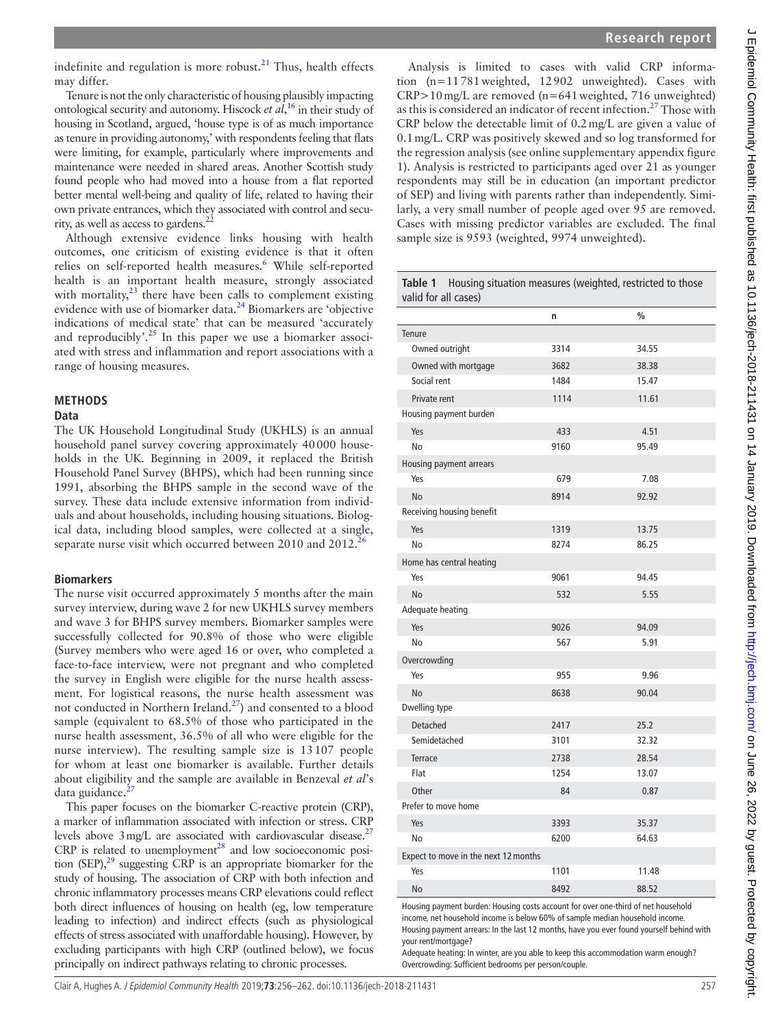J Epidemiol Community Health: first published as 10.1136/jech-2018-211431 on 14 January 2019. Downloaded from http://jech.bmj.com/ on June 26, 2022 by guest. Protected by copyright J Epidemiol Community Health: first published as 10.1136/jech-2018-211431 on 14 January 2019. Downloaded from <http://jech.bmj.com/> on June 26, 2022 by guest. Protected by copyright.

Ī

indefinite and regulation is more robust. $^{21}$  Thus, health effects may differ.

Tenure is not the only characteristic of housing plausibly impacting ontological security and autonomy. Hiscock *et al*, [16](#page-6-18) in their study of housing in Scotland, argued, 'house type is of as much importance as tenure in providing autonomy,' with respondents feeling that flats were limiting, for example, particularly where improvements and maintenance were needed in shared areas. Another Scottish study found people who had moved into a house from a flat reported better mental well-being and quality of life, related to having their own private entrances, which they associated with control and security, as well as access to gardens. $^{22}$ 

Although extensive evidence links housing with health outcomes, one criticism of existing evidence is that it often relies on self-reported health measures.<sup>[6](#page-6-5)</sup> While self-reported health is an important health measure, strongly associated with mortality, $^{23}$  $^{23}$  $^{23}$  there have been calls to complement existing evidence with use of biomarker data.[24](#page-6-21) Biomarkers are 'objective indications of medical state' that can be measured 'accurately and reproducibly'.<sup>[25](#page-6-22)</sup> In this paper we use a biomarker associated with stress and inflammation and report associations with a range of housing measures.

## **Methods**

#### **Data**

The UK Household Longitudinal Study (UKHLS) is an annual household panel survey covering approximately 40000 households in the UK. Beginning in 2009, it replaced the British Household Panel Survey (BHPS), which had been running since 1991, absorbing the BHPS sample in the second wave of the survey. These data include extensive information from individuals and about households, including housing situations. Biological data, including blood samples, were collected at a single, separate nurse visit which occurred between 2010 and  $2012<sup>26</sup>$ 

### **Biomarkers**

The nurse visit occurred approximately 5 months after the main survey interview, during wave 2 for new UKHLS survey members and wave 3 for BHPS survey members. Biomarker samples were successfully collected for 90.8% of those who were eligible (Survey members who were aged 16 or over, who completed a face-to-face interview, were not pregnant and who completed the survey in English were eligible for the nurse health assessment. For logistical reasons, the nurse health assessment was not conducted in Northern Ireland. $^{27}$ ) and consented to a blood sample (equivalent to 68.5% of those who participated in the nurse health assessment, 36.5% of all who were eligible for the nurse interview). The resulting sample size is 13107 people for whom at least one biomarker is available. Further details about eligibility and the sample are available in Benzeval *et al*'s data guidance.

This paper focuses on the biomarker C-reactive protein (CRP), a marker of inflammation associated with infection or stress. CRP levels above  $3 \text{ mg/L}$  are associated with cardiovascular disease.<sup>27</sup>  $CRP$  is related to unemployment<sup>[28](#page-6-25)</sup> and low socioeconomic position  $(SEP)$ ,<sup>29</sup> suggesting CRP is an appropriate biomarker for the study of housing. The association of CRP with both infection and chronic inflammatory processes means CRP elevations could reflect both direct influences of housing on health (eg, low temperature leading to infection) and indirect effects (such as physiological effects of stress associated with unaffordable housing). However, by excluding participants with high CRP (outlined below), we focus principally on indirect pathways relating to chronic processes.

Analysis is limited to cases with valid CRP information (n=11781weighted, 12902 unweighted). Cases with  $CRP > 10$  mg/L are removed (n=641 weighted, 716 unweighted) as this is considered an indicator of recent infection.<sup>27</sup> Those with CRP below the detectable limit of 0.2mg/L are given a value of 0.1mg/L. CRP was positively skewed and so log transformed for the regression analysis (see online [supplementary appendix figure](https://dx.doi.org/10.1136/jech-2018-211431) [1\)](https://dx.doi.org/10.1136/jech-2018-211431). Analysis is restricted to participants aged over 21 as younger respondents may still be in education (an important predictor of SEP) and living with parents rather than independently. Similarly, a very small number of people aged over 95 are removed. Cases with missing predictor variables are excluded. The final sample size is 9593 (weighted, 9974 unweighted).

<span id="page-1-0"></span>

|                                      | n    | $\frac{0}{0}$ |
|--------------------------------------|------|---------------|
| Tenure                               |      |               |
| Owned outright                       | 3314 | 34.55         |
| Owned with mortgage                  | 3682 | 38.38         |
| Social rent                          | 1484 | 15.47         |
| Private rent                         | 1114 | 11.61         |
| Housing payment burden               |      |               |
| Yes                                  | 433  | 4.51          |
| No                                   | 9160 | 95.49         |
|                                      |      |               |
| Housing payment arrears<br>Yes       | 679  | 7.08          |
|                                      |      |               |
| No                                   | 8914 | 92.92         |
| Receiving housing benefit            |      |               |
| Yes                                  | 1319 | 13.75         |
| No                                   | 8274 | 86.25         |
| Home has central heating             |      |               |
| Yes                                  | 9061 | 94.45         |
| No                                   | 532  | 5.55          |
| Adequate heating                     |      |               |
| Yes                                  | 9026 | 94.09         |
| No                                   | 567  | 5.91          |
| Overcrowding                         |      |               |
| Yes                                  | 955  | 9.96          |
| <b>No</b>                            | 8638 | 90.04         |
| Dwelling type                        |      |               |
| Detached                             | 2417 | 25.2          |
| Semidetached                         | 3101 | 32.32         |
| Terrace                              | 2738 | 28.54         |
| Flat                                 | 1254 | 13.07         |
| Other                                | 84   | 0.87          |
| Prefer to move home                  |      |               |
| Yes                                  | 3393 | 35.37         |
| No                                   | 6200 | 64.63         |
| Expect to move in the next 12 months |      |               |
| Yes                                  | 1101 | 11.48         |
| <b>No</b>                            | 8492 | 88.52         |

Housing payment burden: Housing costs account for over one-third of net household income, net household income is below 60% of sample median household income. Housing payment arrears: In the last 12 months, have you ever found yourself behind with your rent/mortgage?

Adequate heating: In winter, are you able to keep this accommodation warm enough? Overcrowding: Sufficient bedrooms per person/couple.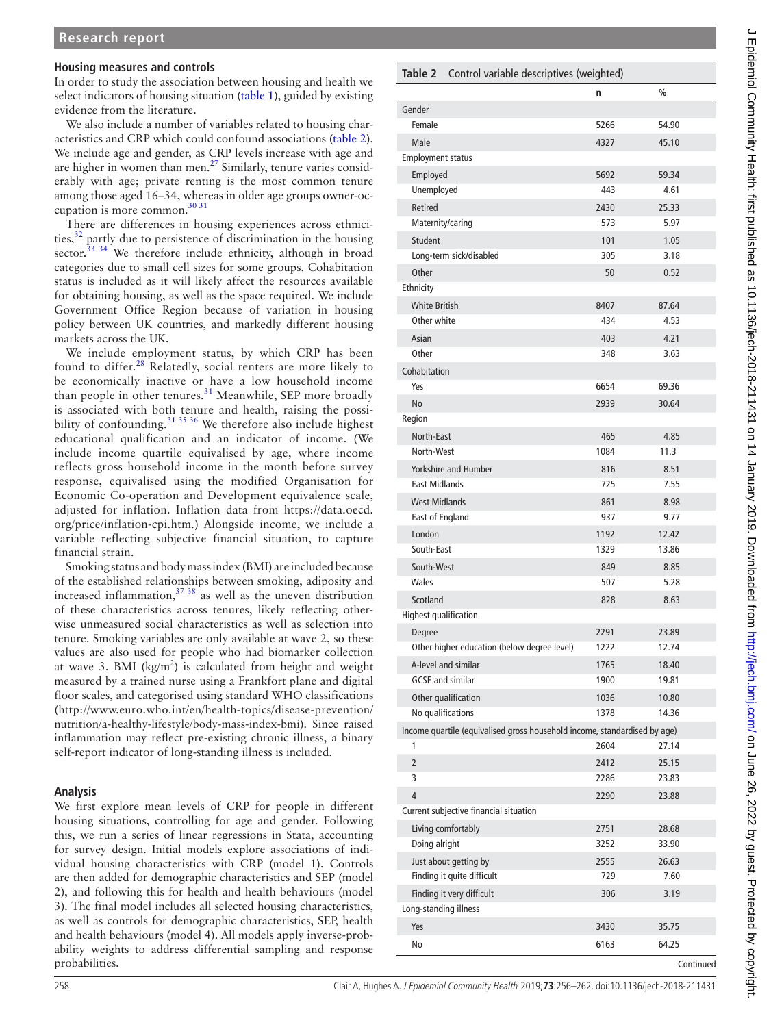#### **Housing measures and controls**

In order to study the association between housing and health we select indicators of housing situation [\(table](#page-1-0) 1), guided by existing evidence from the literature.

We also include a number of variables related to housing characteristics and CRP which could confound associations [\(table](#page-2-0) 2). We include age and gender, as CRP levels increase with age and are higher in women than men.<sup>27</sup> Similarly, tenure varies considerably with age; private renting is the most common tenure among those aged 16–34, whereas in older age groups owner-oc-cupation is more common.<sup>[30 31](#page-6-27)</sup>

There are differences in housing experiences across ethnicities, $32$  partly due to persistence of discrimination in the housing sector. $33 \times 34$  We therefore include ethnicity, although in broad categories due to small cell sizes for some groups. Cohabitation status is included as it will likely affect the resources available for obtaining housing, as well as the space required. We include Government Office Region because of variation in housing policy between UK countries, and markedly different housing markets across the UK.

We include employment status, by which CRP has been found to differ.<sup>28</sup> Relatedly, social renters are more likely to be economically inactive or have a low household income than people in other tenures. $31$  Meanwhile, SEP more broadly is associated with both tenure and health, raising the possibility of confounding.<sup>31 35</sup> 36 We therefore also include highest educational qualification and an indicator of income. (We include income quartile equivalised by age, where income reflects gross household income in the month before survey response, equivalised using the modified Organisation for Economic Co-operation and Development equivalence scale, adjusted for inflation. Inflation data from [https://data.oecd.](https://data.oecd.org/price/inflation-cpi.htm) [org/price/inflation-cpi.htm.](https://data.oecd.org/price/inflation-cpi.htm)) Alongside income, we include a variable reflecting subjective financial situation, to capture financial strain.

Smoking status and body mass index (BMI) are included because of the established relationships between smoking, adiposity and increased inflammation, $3738$  as well as the uneven distribution of these characteristics across tenures, likely reflecting otherwise unmeasured social characteristics as well as selection into tenure. Smoking variables are only available at wave 2, so these values are also used for people who had biomarker collection at wave 3. BMI ( $\text{kg/m}^2$ ) is calculated from height and weight measured by a trained nurse using a Frankfort plane and digital floor scales, and categorised using standard WHO classifications ([http://www.euro.who.int/en/health-topics/disease-prevention/](http://www.euro.who.int/en/health-topics/disease-prevention/nutrition/a-healthy-lifestyle/body-mass-index-bmi) [nutrition/a-healthy-lifestyle/body-mass-index-bmi\)](http://www.euro.who.int/en/health-topics/disease-prevention/nutrition/a-healthy-lifestyle/body-mass-index-bmi). Since raised inflammation may reflect pre-existing chronic illness, a binary self-report indicator of long-standing illness is included.

#### **Analysis**

We first explore mean levels of CRP for people in different housing situations, controlling for age and gender. Following this, we run a series of linear regressions in Stata, accounting for survey design. Initial models explore associations of individual housing characteristics with CRP (model 1). Controls are then added for demographic characteristics and SEP (model 2), and following this for health and health behaviours (model 3). The final model includes all selected housing characteristics, as well as controls for demographic characteristics, SEP, health and health behaviours (model 4). All models apply inverse-probability weights to address differential sampling and response probabilities.

#### <span id="page-2-0"></span>**Table 2** Control variable descriptives (weighted)

|                                                                           | n    | $\frac{0}{0}$ |
|---------------------------------------------------------------------------|------|---------------|
| Gender                                                                    |      |               |
| Female                                                                    | 5266 | 54.90         |
| Male                                                                      | 4327 | 45.10         |
| <b>Employment status</b>                                                  |      |               |
| Employed                                                                  | 5692 | 59.34         |
| Unemployed                                                                | 443  | 4.61          |
| <b>Retired</b>                                                            | 2430 | 25.33         |
| Maternity/caring                                                          | 573  | 5.97          |
| Student                                                                   | 101  | 1.05          |
| Long-term sick/disabled                                                   | 305  | 3.18          |
| Other                                                                     | 50   | 0.52          |
| Ethnicity                                                                 |      |               |
| <b>White British</b>                                                      | 8407 | 87.64         |
| Other white                                                               | 434  | 4.53          |
| Asian                                                                     | 403  | 4.21          |
| Other                                                                     | 348  | 3.63          |
| Cohabitation                                                              |      |               |
| Yes                                                                       | 6654 | 69.36         |
| No                                                                        | 2939 | 30.64         |
| Region                                                                    |      |               |
| North-East                                                                | 465  | 4.85          |
| North-West                                                                | 1084 | 11.3          |
| Yorkshire and Humber                                                      | 816  | 8.51          |
| <b>East Midlands</b>                                                      | 725  | 7.55          |
| <b>West Midlands</b>                                                      | 861  | 8.98          |
| East of England                                                           | 937  | 9.77          |
| London                                                                    | 1192 | 12.42         |
| South-East                                                                | 1329 | 13.86         |
| South-West                                                                | 849  | 8.85          |
| Wales                                                                     | 507  | 5.28          |
| Scotland                                                                  | 828  | 8.63          |
| Highest qualification                                                     |      |               |
| Degree                                                                    | 2291 | 23.89         |
| Other higher education (below degree level)                               | 1222 | 12.74         |
| A-level and similar                                                       | 1765 | 18.40         |
| <b>GCSE</b> and similar                                                   | 1900 | 19.81         |
| Other qualification                                                       | 1036 | 10.80         |
| No qualifications                                                         | 1378 | 14.36         |
| Income quartile (equivalised gross household income, standardised by age) |      |               |
| 1                                                                         | 2604 | 27.14         |
| $\overline{2}$                                                            | 2412 | 25.15         |
| 3                                                                         | 2286 | 23.83         |
| $\overline{4}$                                                            | 2290 | 23.88         |
| Current subjective financial situation                                    |      |               |
| Living comfortably                                                        | 2751 | 28.68         |
| Doing alright                                                             | 3252 | 33.90         |
| Just about getting by                                                     | 2555 | 26.63         |
| Finding it quite difficult                                                | 729  | 7.60          |
| Finding it very difficult                                                 | 306  | 3.19          |
| Long-standing illness                                                     |      |               |
| Yes                                                                       | 3430 | 35.75         |
| No                                                                        | 6163 | 64.25         |
|                                                                           |      | Continued     |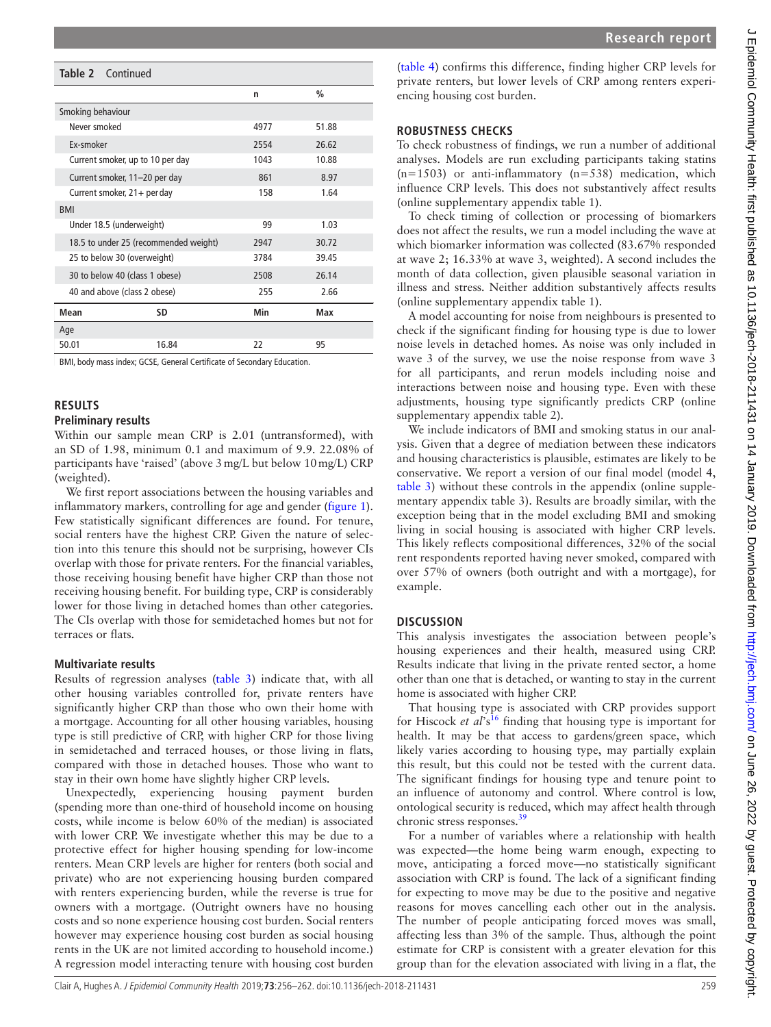| <b>Research report</b> |  |
|------------------------|--|
|------------------------|--|

|                                       | n    | $\frac{0}{0}$ |
|---------------------------------------|------|---------------|
| Smoking behaviour                     |      |               |
| Never smoked                          | 4977 | 51.88         |
| Ex-smoker                             | 2554 | 26.62         |
| Current smoker, up to 10 per day      | 1043 | 10.88         |
| Current smoker, 11-20 per day         | 861  | 8.97          |
| Current smoker, 21+ per day           | 158  | 1.64          |
| <b>BMI</b>                            |      |               |
| Under 18.5 (underweight)              | 99   | 1.03          |
| 18.5 to under 25 (recommended weight) | 2947 | 30.72         |
| 25 to below 30 (overweight)           | 3784 | 39.45         |
| 30 to below 40 (class 1 obese)        | 2508 | 26.14         |
| 40 and above (class 2 obese)          | 255  | 2.66          |
|                                       |      |               |

50.01 16.84 22 95 BMI, body mass index; GCSE, General Certificate of Secondary Education.

**Mean SD Min Max**

## **Results**

Age

#### **Preliminary results**

**Table 2** Continued

Within our sample mean CRP is 2.01 (untransformed), with an SD of 1.98, minimum 0.1 and maximum of 9.9. 22.08% of participants have 'raised' (above 3mg/L but below 10mg/L) CRP (weighted).

We first report associations between the housing variables and inflammatory markers, controlling for age and gender [\(figure](#page-4-0) 1). Few statistically significant differences are found. For tenure, social renters have the highest CRP. Given the nature of selection into this tenure this should not be surprising, however CIs overlap with those for private renters. For the financial variables, those receiving housing benefit have higher CRP than those not receiving housing benefit. For building type, CRP is considerably lower for those living in detached homes than other categories. The CIs overlap with those for semidetached homes but not for terraces or flats.

#### **Multivariate results**

Results of regression analyses ([table](#page-5-0) 3) indicate that, with all other housing variables controlled for, private renters have significantly higher CRP than those who own their home with a mortgage. Accounting for all other housing variables, housing type is still predictive of CRP, with higher CRP for those living in semidetached and terraced houses, or those living in flats, compared with those in detached houses. Those who want to stay in their own home have slightly higher CRP levels.

Unexpectedly, experiencing housing payment burden (spending more than one-third of household income on housing costs, while income is below 60% of the median) is associated with lower CRP. We investigate whether this may be due to a protective effect for higher housing spending for low-income renters. Mean CRP levels are higher for renters (both social and private) who are not experiencing housing burden compared with renters experiencing burden, while the reverse is true for owners with a mortgage. (Outright owners have no housing costs and so none experience housing cost burden. Social renters however may experience housing cost burden as social housing rents in the UK are not limited according to household income.) A regression model interacting tenure with housing cost burden

([table](#page-5-1) 4) confirms this difference, finding higher CRP levels for private renters, but lower levels of CRP among renters experiencing housing cost burden.

## **Robustness checks**

To check robustness of findings, we run a number of additional analyses. Models are run excluding participants taking statins  $(n=1503)$  or anti-inflammatory  $(n=538)$  medication, which influence CRP levels. This does not substantively affect results (online [supplementary appendix table 1\)](https://dx.doi.org/10.1136/jech-2018-211431).

To check timing of collection or processing of biomarkers does not affect the results, we run a model including the wave at which biomarker information was collected (83.67% responded at wave 2; 16.33% at wave 3, weighted). A second includes the month of data collection, given plausible seasonal variation in illness and stress. Neither addition substantively affects results (online [supplementary appendix table 1\)](https://dx.doi.org/10.1136/jech-2018-211431).

A model accounting for noise from neighbours is presented to check if the significant finding for housing type is due to lower noise levels in detached homes. As noise was only included in wave 3 of the survey, we use the noise response from wave 3 for all participants, and rerun models including noise and interactions between noise and housing type. Even with these adjustments, housing type significantly predicts CRP (online [supplementary appendix table 2](https://dx.doi.org/10.1136/jech-2018-211431)).

We include indicators of BMI and smoking status in our analysis. Given that a degree of mediation between these indicators and housing characteristics is plausible, estimates are likely to be conservative. We report a version of our final model (model 4, [table](#page-5-0) 3) without these controls in the appendix (online [supple](https://dx.doi.org/10.1136/jech-2018-211431)[mentary appendix table 3\)](https://dx.doi.org/10.1136/jech-2018-211431). Results are broadly similar, with the exception being that in the model excluding BMI and smoking living in social housing is associated with higher CRP levels. This likely reflects compositional differences, 32% of the social rent respondents reported having never smoked, compared with over 57% of owners (both outright and with a mortgage), for example.

### **Discussion**

This analysis investigates the association between people's housing experiences and their health, measured using CRP. Results indicate that living in the private rented sector, a home other than one that is detached, or wanting to stay in the current home is associated with higher CRP.

That housing type is associated with CRP provides support for Hiscock *et al*'s<sup>16</sup> finding that housing type is important for health. It may be that access to gardens/green space, which likely varies according to housing type, may partially explain this result, but this could not be tested with the current data. The significant findings for housing type and tenure point to an influence of autonomy and control. Where control is low, ontological security is reduced, which may affect health through chronic stress responses.[39](#page-6-32)

For a number of variables where a relationship with health was expected—the home being warm enough, expecting to move, anticipating a forced move—no statistically significant association with CRP is found. The lack of a significant finding for expecting to move may be due to the positive and negative reasons for moves cancelling each other out in the analysis. The number of people anticipating forced moves was small, affecting less than 3% of the sample. Thus, although the point estimate for CRP is consistent with a greater elevation for this group than for the elevation associated with living in a flat, the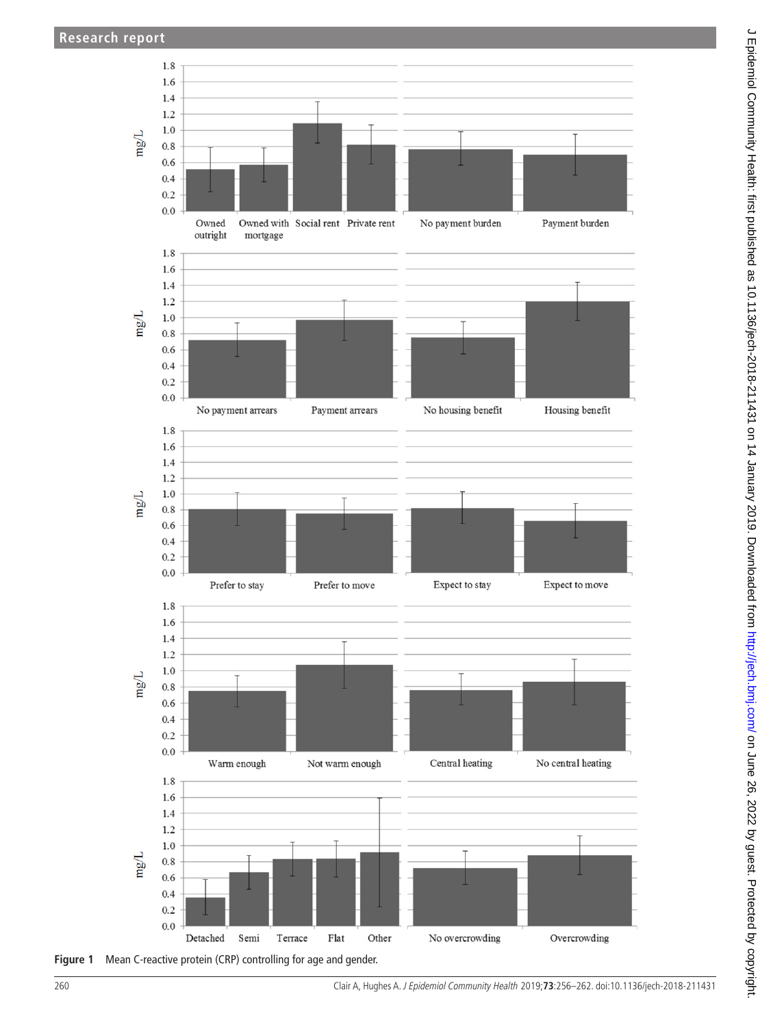

<span id="page-4-0"></span>**Figure 1** Mean C-reactive protein (CRP) controlling for age and gender.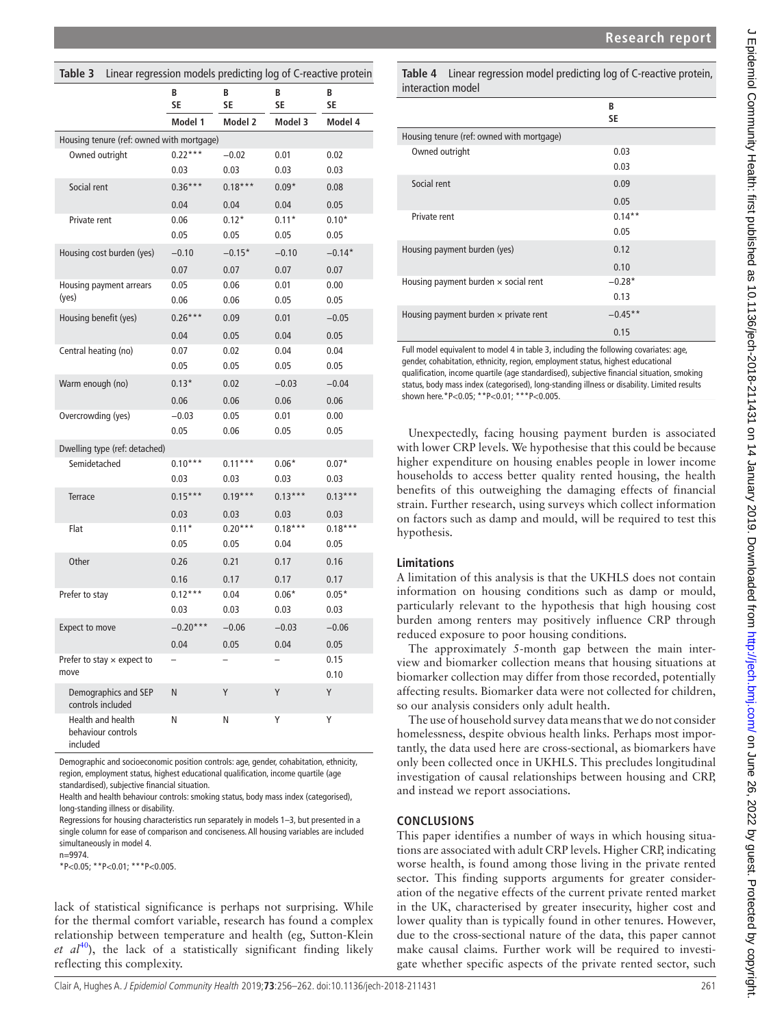| <b>Research report</b> |  |
|------------------------|--|
|------------------------|--|

| $\ddot{\phantom{0}}$                                                                                                                 |
|--------------------------------------------------------------------------------------------------------------------------------------|
| I                                                                                                                                    |
|                                                                                                                                      |
| $\frac{1}{2}$                                                                                                                        |
|                                                                                                                                      |
|                                                                                                                                      |
|                                                                                                                                      |
| <br> <br> <br>                                                                                                                       |
|                                                                                                                                      |
|                                                                                                                                      |
|                                                                                                                                      |
|                                                                                                                                      |
|                                                                                                                                      |
| í                                                                                                                                    |
|                                                                                                                                      |
|                                                                                                                                      |
|                                                                                                                                      |
| ֖֧ׅ֧ׅ֧֧֧ׅ֧֧֧֧ׅ֧֪ׅ֧ׅ֧֧֧֪֧֧֪֧֪ׅ֧֪֧֛֚֚֚֚֚֚֚֚֚֚֚֚֚֚֚֚֚֚֚֚֚֚֚֚֚֚֚֚֚֚֡֝֝֝֓֝֬֜֝֬֝֬֝֬֜֜֝֬֝֬֝֬                                                |
|                                                                                                                                      |
|                                                                                                                                      |
|                                                                                                                                      |
|                                                                                                                                      |
|                                                                                                                                      |
|                                                                                                                                      |
|                                                                                                                                      |
|                                                                                                                                      |
|                                                                                                                                      |
|                                                                                                                                      |
|                                                                                                                                      |
|                                                                                                                                      |
|                                                                                                                                      |
|                                                                                                                                      |
|                                                                                                                                      |
|                                                                                                                                      |
|                                                                                                                                      |
|                                                                                                                                      |
|                                                                                                                                      |
|                                                                                                                                      |
|                                                                                                                                      |
|                                                                                                                                      |
|                                                                                                                                      |
|                                                                                                                                      |
|                                                                                                                                      |
|                                                                                                                                      |
|                                                                                                                                      |
|                                                                                                                                      |
|                                                                                                                                      |
|                                                                                                                                      |
|                                                                                                                                      |
|                                                                                                                                      |
|                                                                                                                                      |
|                                                                                                                                      |
|                                                                                                                                      |
| Daniani D                                                                                                                            |
|                                                                                                                                      |
|                                                                                                                                      |
|                                                                                                                                      |
|                                                                                                                                      |
|                                                                                                                                      |
|                                                                                                                                      |
|                                                                                                                                      |
|                                                                                                                                      |
|                                                                                                                                      |
|                                                                                                                                      |
|                                                                                                                                      |
|                                                                                                                                      |
| <b>PAN DAN DAN DAN</b>                                                                                                               |
|                                                                                                                                      |
| illy Frediu, illar publisired as illo illard and frediric illo illard in the dalidati a cultati oli illo mitted ill<br>$\frac{1}{2}$ |
|                                                                                                                                      |
|                                                                                                                                      |
|                                                                                                                                      |
|                                                                                                                                      |
|                                                                                                                                      |
|                                                                                                                                      |
|                                                                                                                                      |
|                                                                                                                                      |
|                                                                                                                                      |
|                                                                                                                                      |
| $\ddot{\phantom{a}}$                                                                                                                 |
|                                                                                                                                      |
|                                                                                                                                      |
|                                                                                                                                      |
|                                                                                                                                      |
|                                                                                                                                      |
| $\frac{2}{3}$                                                                                                                        |
|                                                                                                                                      |
|                                                                                                                                      |
|                                                                                                                                      |
| j                                                                                                                                    |
|                                                                                                                                      |
| ,                                                                                                                                    |
|                                                                                                                                      |
| ;<br>)<br>)                                                                                                                          |
|                                                                                                                                      |
| <b>CONTRACT CONTROL TO THE TOTAL CAR</b>                                                                                             |
|                                                                                                                                      |
| ĭ                                                                                                                                    |
|                                                                                                                                      |
| ֖֚֡֝֬                                                                                                                                |
|                                                                                                                                      |
|                                                                                                                                      |
|                                                                                                                                      |
|                                                                                                                                      |
|                                                                                                                                      |
|                                                                                                                                      |
|                                                                                                                                      |
|                                                                                                                                      |
| ׇ֚֓֡<br>֠                                                                                                                            |
|                                                                                                                                      |
|                                                                                                                                      |
| j<br>į                                                                                                                               |
| $\frac{1}{2}$                                                                                                                        |

<span id="page-5-0"></span>

| Linear regression models predicting log of C-reactive protein<br>Table 3 |            |           |           |              |
|--------------------------------------------------------------------------|------------|-----------|-----------|--------------|
|                                                                          | В<br>SE    | В<br>SE   | В<br>SE   | В<br>SE      |
|                                                                          | Model 1    | Model 2   | Model 3   | Model 4      |
| Housing tenure (ref: owned with mortgage)                                |            |           |           |              |
| Owned outright                                                           | $0.22***$  | $-0.02$   | 0.01      | 0.02         |
|                                                                          | 0.03       | 0.03      | 0.03      | 0.03         |
| Social rent                                                              | $0.36***$  | $0.18***$ | $0.09*$   | 0.08         |
|                                                                          | 0.04       | 0.04      | 0.04      | 0.05         |
| Private rent                                                             | 0.06       | $0.12*$   | $0.11*$   | $0.10*$      |
|                                                                          | 0.05       | 0.05      | 0.05      | 0.05         |
| Housing cost burden (yes)                                                | $-0.10$    | $-0.15*$  | $-0.10$   | $-0.14*$     |
|                                                                          | 0.07       | 0.07      | 0.07      | 0.07         |
| Housing payment arrears                                                  | 0.05       | 0.06      | 0.01      | 0.00         |
| (yes)                                                                    | 0.06       | 0.06      | 0.05      | 0.05         |
| Housing benefit (yes)                                                    | $0.26***$  | 0.09      | 0.01      | $-0.05$      |
|                                                                          | 0.04       | 0.05      | 0.04      | 0.05         |
| Central heating (no)                                                     | 0.07       | 0.02      | 0.04      | 0.04         |
|                                                                          | 0.05       | 0.05      | 0.05      | 0.05         |
| Warm enough (no)                                                         | $0.13*$    | 0.02      | $-0.03$   | $-0.04$      |
|                                                                          | 0.06       | 0.06      | 0.06      | 0.06         |
| Overcrowding (yes)                                                       | $-0.03$    | 0.05      | 0.01      | 0.00         |
|                                                                          | 0.05       | 0.06      | 0.05      | 0.05         |
| Dwelling type (ref: detached)                                            |            |           |           |              |
| Semidetached                                                             | $0.10***$  | $0.11***$ | $0.06*$   | $0.07*$      |
|                                                                          | 0.03       | 0.03      | 0.03      | 0.03         |
| <b>Terrace</b>                                                           | $0.15***$  | $0.19***$ | $0.13***$ | $0.13***$    |
|                                                                          | 0.03       | 0.03      | 0.03      | 0.03         |
| Flat                                                                     | $0.11*$    | $0.20***$ | $0.18***$ | $0.18***$    |
|                                                                          | 0.05       | 0.05      | 0.04      | 0.05         |
| Other                                                                    | 0.26       | 0.21      | 0.17      | 0.16         |
|                                                                          | 0.16       | 0.17      | 0.17      | 0.17         |
| Prefer to stay                                                           | $0.12***$  | 0.04      | $0.06*$   | $0.05*$      |
|                                                                          | 0.03       | 0.03      | 0.03      | 0.03         |
| <b>Expect to move</b>                                                    | $-0.20***$ | $-0.06$   | $-0.03$   | $-0.06$      |
|                                                                          | 0.04       | 0.05      | 0.04      | 0.05         |
| Prefer to stay $\times$ expect to<br>move                                |            |           |           | 0.15<br>0.10 |
|                                                                          |            |           |           |              |
| Demographics and SEP<br>controls included                                | N          | Y         | Y         | Y            |
| Health and health<br>behaviour controls<br>included                      | N          | Ν         | Υ         | Υ            |

Demographic and socioeconomic position controls: age, gender, cohabitation, ethnicity, region, employment status, highest educational qualification, income quartile (age standardised), subjective financial situation.

Health and health behaviour controls: smoking status, body mass index (categorised), long-standing illness or disability.

n=9974.

\*P<0.05; \*\*P<0.01; \*\*\*P<0.005.

lack of statistical significance is perhaps not surprising. While for the thermal comfort variable, research has found a complex relationship between temperature and health (eg, Sutton-Klein  $et \t al^{40}$  $et \t al^{40}$  $et \t al^{40}$ , the lack of a statistically significant finding likely reflecting this complexity.

<span id="page-5-1"></span>**Table 4** Linear regression model predicting log of C-reactive protein, interaction model

|                                              | B<br>SE   |  |
|----------------------------------------------|-----------|--|
| Housing tenure (ref: owned with mortgage)    |           |  |
| Owned outright                               | 0.03      |  |
|                                              | 0.03      |  |
| Social rent                                  | 0.09      |  |
|                                              | 0.05      |  |
| Private rent                                 | $0.14***$ |  |
|                                              | 0.05      |  |
| Housing payment burden (yes)                 | 0.12      |  |
|                                              | 0.10      |  |
| Housing payment burden $\times$ social rent  | $-0.28*$  |  |
|                                              | 0.13      |  |
| Housing payment burden $\times$ private rent | $-0.45**$ |  |
|                                              | 0.15      |  |

Full model equivalent to model 4 in [table 3,](#page-5-0) including the following covariates: age, gender, cohabitation, ethnicity, region, employment status, highest educational qualification, income quartile (age standardised), subjective financial situation, smoking status, body mass index (categorised), long-standing illness or disability. Limited results shown here.\*P<0.05; \*\*P<0.01; \*\*\*P<0.005.

Unexpectedly, facing housing payment burden is associated with lower CRP levels. We hypothesise that this could be because higher expenditure on housing enables people in lower income households to access better quality rented housing, the health benefits of this outweighing the damaging effects of financial strain. Further research, using surveys which collect information on factors such as damp and mould, will be required to test this hypothesis.

### **Limitations**

A limitation of this analysis is that the UKHLS does not contain information on housing conditions such as damp or mould, particularly relevant to the hypothesis that high housing cost burden among renters may positively influence CRP through reduced exposure to poor housing conditions.

The approximately 5-month gap between the main interview and biomarker collection means that housing situations at biomarker collection may differ from those recorded, potentially affecting results. Biomarker data were not collected for children, so our analysis considers only adult health.

The use of household survey data means that we do not consider homelessness, despite obvious health links. Perhaps most importantly, the data used here are cross-sectional, as biomarkers have only been collected once in UKHLS. This precludes longitudinal investigation of causal relationships between housing and CRP, and instead we report associations.

### **Conclusions**

This paper identifies a number of ways in which housing situations are associated with adult CRP levels. Higher CRP, indicating worse health, is found among those living in the private rented sector. This finding supports arguments for greater consideration of the negative effects of the current private rented market in the UK, characterised by greater insecurity, higher cost and lower quality than is typically found in other tenures. However, due to the cross-sectional nature of the data, this paper cannot make causal claims. Further work will be required to investigate whether specific aspects of the private rented sector, such

Regressions for housing characteristics run separately in models 1–3, but presented in a single column for ease of comparison and conciseness. All housing variables are included simultaneously in model 4.